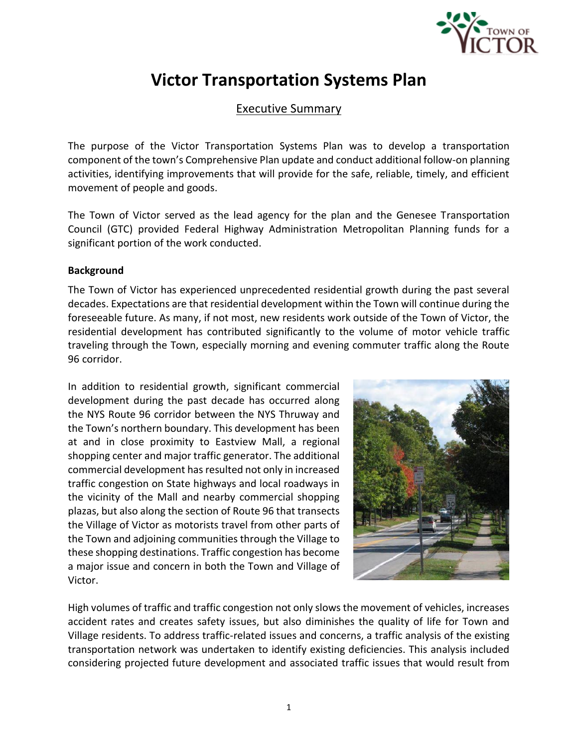

## Executive Summary

The purpose of the Victor Transportation Systems Plan was to develop a transportation component of the town's Comprehensive Plan update and conduct additional follow-on planning activities, identifying improvements that will provide for the safe, reliable, timely, and efficient movement of people and goods.

The Town of Victor served as the lead agency for the plan and the Genesee Transportation Council (GTC) provided Federal Highway Administration Metropolitan Planning funds for a significant portion of the work conducted.

### **Background**

The Town of Victor has experienced unprecedented residential growth during the past several decades. Expectations are that residential development within the Town will continue during the foreseeable future. As many, if not most, new residents work outside of the Town of Victor, the residential development has contributed significantly to the volume of motor vehicle traffic traveling through the Town, especially morning and evening commuter traffic along the Route 96 corridor.

In addition to residential growth, significant commercial development during the past decade has occurred along the NYS Route 96 corridor between the NYS Thruway and the Town's northern boundary. This development has been at and in close proximity to Eastview Mall, a regional shopping center and major traffic generator. The additional commercial development has resulted not only in increased traffic congestion on State highways and local roadways in the vicinity of the Mall and nearby commercial shopping plazas, but also along the section of Route 96 that transects the Village of Victor as motorists travel from other parts of the Town and adjoining communities through the Village to these shopping destinations. Traffic congestion has become a major issue and concern in both the Town and Village of Victor.



High volumes of traffic and traffic congestion not only slows the movement of vehicles, increases accident rates and creates safety issues, but also diminishes the quality of life for Town and Village residents. To address traffic-related issues and concerns, a traffic analysis of the existing transportation network was undertaken to identify existing deficiencies. This analysis included considering projected future development and associated traffic issues that would result from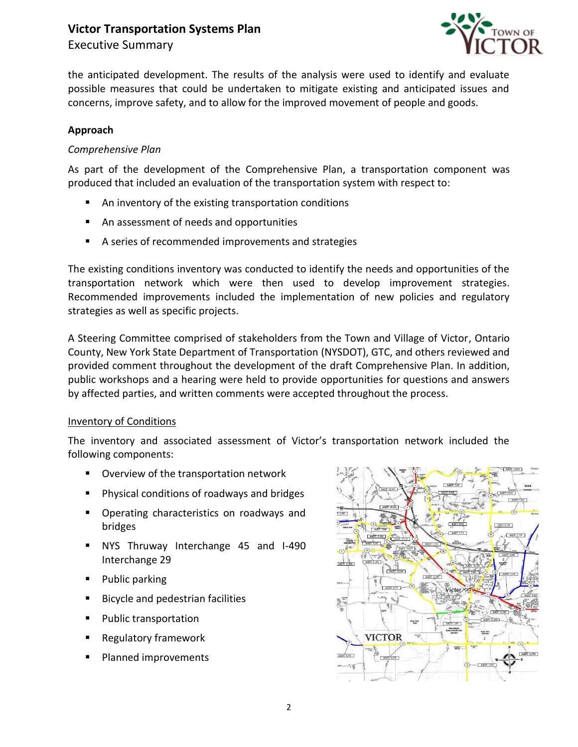Executive Summary



the anticipated development. The results of the analysis were used to identify and evaluate possible measures that could be undertaken to mitigate existing and anticipated issues and concerns, improve safety, and to allow for the improved movement of people and goods.

## **Approach**

### *Comprehensive Plan*

As part of the development of the Comprehensive Plan, a transportation component was produced that included an evaluation of the transportation system with respect to:

- An inventory of the existing transportation conditions
- An assessment of needs and opportunities
- A series of recommended improvements and strategies

The existing conditions inventory was conducted to identify the needs and opportunities of the transportation network which were then used to develop improvement strategies. Recommended improvements included the implementation of new policies and regulatory strategies as well as specific projects.

A Steering Committee comprised of stakeholders from the Town and Village of Victor, Ontario County, New York State Department of Transportation (NYSDOT), GTC, and others reviewed and provided comment throughout the development of the draft Comprehensive Plan. In addition, public workshops and a hearing were held to provide opportunities for questions and answers by affected parties, and written comments were accepted throughout the process.

### Inventory of Conditions

The inventory and associated assessment of Victor's transportation network included the following components:

- **Overview of the transportation network**
- **Physical conditions of roadways and bridges**
- **•** Operating characteristics on roadways and bridges
- NYS Thruway Interchange 45 and I-490 Interchange 29
- Public parking
- **Bicycle and pedestrian facilities**
- **Public transportation**
- Regulatory framework
- **Planned improvements**

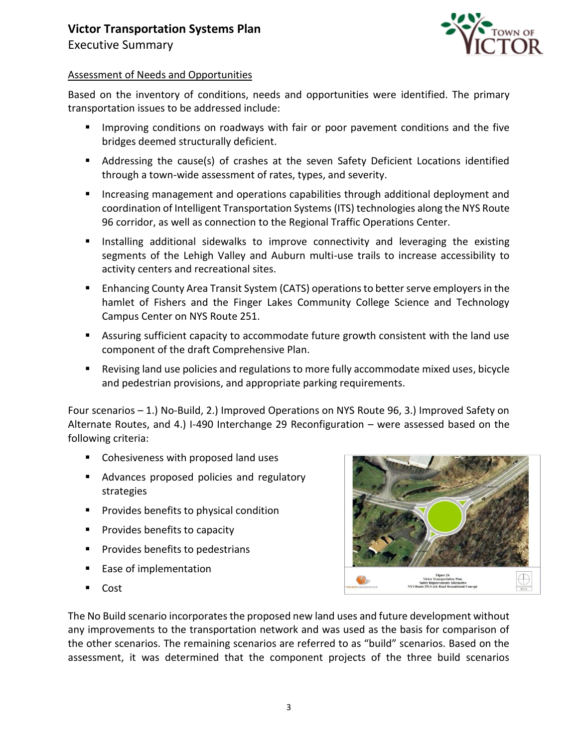



### Assessment of Needs and Opportunities

Based on the inventory of conditions, needs and opportunities were identified. The primary transportation issues to be addressed include:

- **IMPROM** 11 Improving conditions on roadways with fair or poor pavement conditions and the five bridges deemed structurally deficient.
- Addressing the cause(s) of crashes at the seven Safety Deficient Locations identified through a town-wide assessment of rates, types, and severity.
- Increasing management and operations capabilities through additional deployment and coordination of Intelligent Transportation Systems (ITS) technologies along the NYS Route 96 corridor, as well as connection to the Regional Traffic Operations Center.
- **Installing additional sidewalks to improve connectivity and leveraging the existing** segments of the Lehigh Valley and Auburn multi-use trails to increase accessibility to activity centers and recreational sites.
- Enhancing County Area Transit System (CATS) operations to better serve employers in the hamlet of Fishers and the Finger Lakes Community College Science and Technology Campus Center on NYS Route 251.
- Assuring sufficient capacity to accommodate future growth consistent with the land use component of the draft Comprehensive Plan.
- Revising land use policies and regulations to more fully accommodate mixed uses, bicycle and pedestrian provisions, and appropriate parking requirements.

Four scenarios – 1.) No-Build, 2.) Improved Operations on NYS Route 96, 3.) Improved Safety on Alternate Routes, and 4.) I-490 Interchange 29 Reconfiguration – were assessed based on the following criteria:

- Cohesiveness with proposed land uses
- **Advances proposed policies and regulatory** strategies
- **Provides benefits to physical condition**
- **Provides benefits to capacity**
- **Provides benefits to pedestrians**
- **Ease of implementation**
- Cost



The No Build scenario incorporates the proposed new land uses and future development without any improvements to the transportation network and was used as the basis for comparison of the other scenarios. The remaining scenarios are referred to as "build" scenarios. Based on the assessment, it was determined that the component projects of the three build scenarios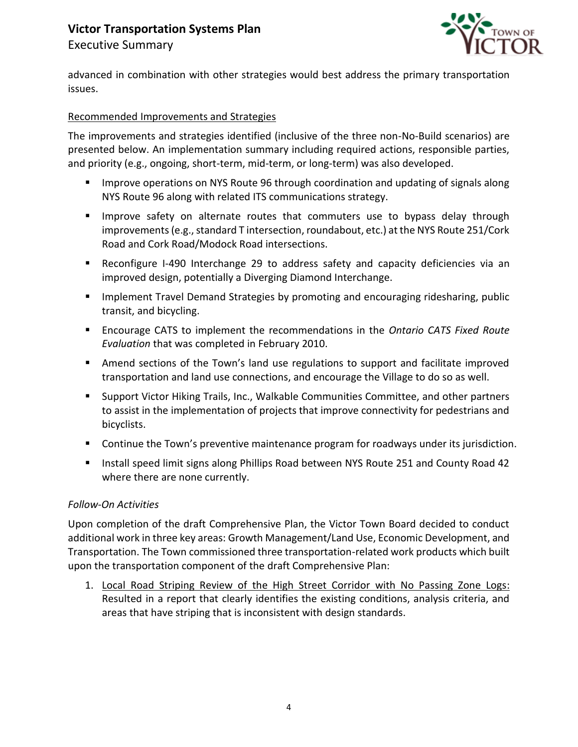# **Victor Transportation Systems Plan** Executive Summary



advanced in combination with other strategies would best address the primary transportation issues.

### Recommended Improvements and Strategies

The improvements and strategies identified (inclusive of the three non-No-Build scenarios) are presented below. An implementation summary including required actions, responsible parties, and priority (e.g., ongoing, short-term, mid-term, or long-term) was also developed.

- **IMPROVE OPERATIONS ON NYS ROUTE 96 through coordination and updating of signals along** NYS Route 96 along with related ITS communications strategy.
- **IMPROVE SATETY ON ALTERTY COVERGET STATE COMMUTER** use to bypass delay through improvements (e.g., standard T intersection, roundabout, etc.) at the NYS Route 251/Cork Road and Cork Road/Modock Road intersections.
- Reconfigure I-490 Interchange 29 to address safety and capacity deficiencies via an improved design, potentially a Diverging Diamond Interchange.
- **IMPLEM** Implement Travel Demand Strategies by promoting and encouraging ridesharing, public transit, and bicycling.
- Encourage CATS to implement the recommendations in the *Ontario CATS Fixed Route Evaluation* that was completed in February 2010.
- Amend sections of the Town's land use regulations to support and facilitate improved transportation and land use connections, and encourage the Village to do so as well.
- **Support Victor Hiking Trails, Inc., Walkable Communities Committee, and other partners** to assist in the implementation of projects that improve connectivity for pedestrians and bicyclists.
- **Continue the Town's preventive maintenance program for roadways under its jurisdiction.**
- **Install speed limit signs along Phillips Road between NYS Route 251 and County Road 42** where there are none currently.

### *Follow-On Activities*

Upon completion of the draft Comprehensive Plan, the Victor Town Board decided to conduct additional work in three key areas: Growth Management/Land Use, Economic Development, and Transportation. The Town commissioned three transportation-related work products which built upon the transportation component of the draft Comprehensive Plan:

1. Local Road Striping Review of the High Street Corridor with No Passing Zone Logs: Resulted in a report that clearly identifies the existing conditions, analysis criteria, and areas that have striping that is inconsistent with design standards.